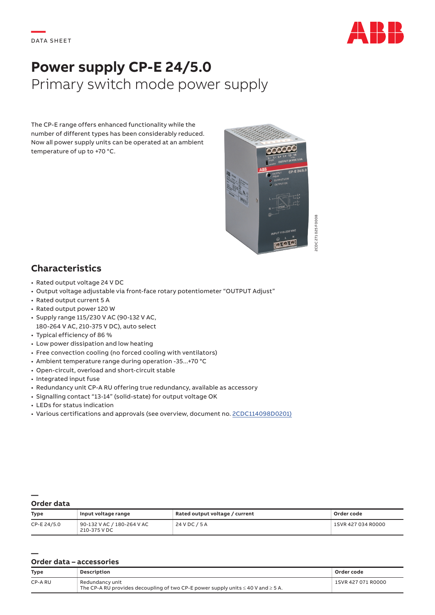

# **Power supply CP-E 24/5.0** Primary switch mode power supply

The CP-E range offers enhanced functionality while the number of different types has been considerably reduced. Now all power supply units can be operated at an ambient temperature of up to +70 °C.



## **Characteristics**

- Rated output voltage 24 V DC
- Output voltage adjustable via front-face rotary potentiometer "OUTPUT Adjust"
- Rated output current 5 A
- Rated output power 120 W
- Supply range 115/230 V AC (90-132 V AC, 180-264 V AC, 210-375 V DC), auto select
- Typical efficiency of 86 %
- Low power dissipation and low heating
- Free convection cooling (no forced cooling with ventilators)
- Ambient temperature range during operation -35...+70 °C
- Open-circuit, overload and short-circuit stable
- Integrated input fuse
- Redundancy unit CP-A RU offering true redundancy, available as accessory
- Signalling contact "13-14" (solid-state) for output voltage OK
- LEDs for status indication
- Various certifications and approvals (see overview, document no. [2CDC114098D0201\)](https://library.e.abb.com/public/41e85c1a589c4f4db210dc7e84e0c1aa/2CDC114098D0201.pdf)

#### **— Order data**

**—**

| Type        | Input voltage range                        | Rated output voltage / current | Order code         |
|-------------|--------------------------------------------|--------------------------------|--------------------|
| CP-E 24/5.0 | 90-132 V AC / 180-264 V AC<br>210-375 V DC | 24 V DC / 5 A                  | 1SVR 427 034 R0000 |

### **Order data – accessories**

| <b>Type</b> | Description                                                                                                   | Order code         |
|-------------|---------------------------------------------------------------------------------------------------------------|--------------------|
| CP-A RU     | Redundancy unit<br>The CP-A RU provides decoupling of two CP-E power supply units $\leq$ 40 V and $\geq$ 5 A. | 1SVR 427 071 R0000 |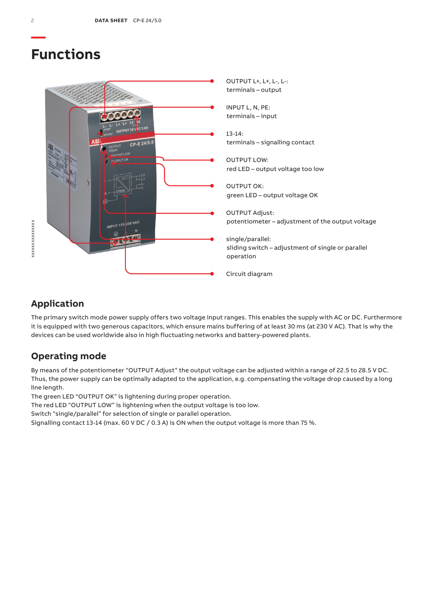## **Functions**



## **Application**

The primary switch mode power supply offers two voltage input ranges. This enables the supply with AC or DC. Furthermore it is equipped with two generous capacitors, which ensure mains buffering of at least 30 ms (at 230 V AC). That is why the devices can be used worldwide also in high fluctuating networks and battery-powered plants.

## **Operating mode**

By means of the potentiometer "OUTPUT Adjust" the output voltage can be adjusted within a range of 22.5 to 28.5 V DC. Thus, the power supply can be optimally adapted to the application, e.g. compensating the voltage drop caused by a long line length.

The green LED "OUTPUT OK" is lightening during proper operation.

The red LED "OUTPUT LOW" is lightening when the output voltage is too low.

Switch "single/parallel" for selection of single or parallel operation.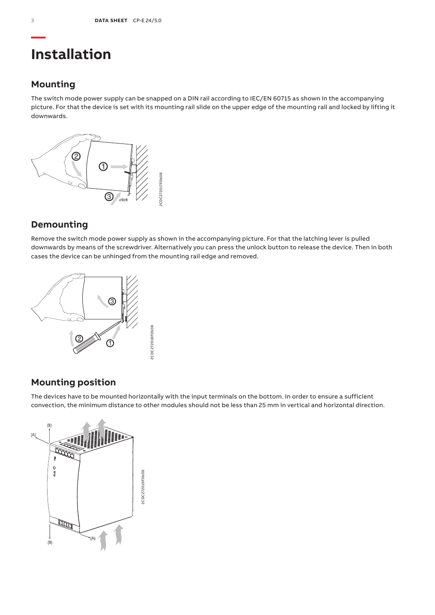## **Installation**

### **Mounting**

The switch mode power supply can be snapped on a DIN rail according to IEC/EN 60715 as shown in the accompanying picture. For that the device is set with its mounting rail slide on the upper edge of the mounting rail and locked by lifting it downwards.



## **Demounting**

Remove the switch mode power supply as shown in the accompanying picture. For that the latching lever is pulled downwards by means of the screwdriver. Alternatively you can press the unlock button to release the device. Then in both cases the device can be unhinged from the mounting rail edge and removed.



## **Mounting position**

The devices have to be mounted horizontally with the input terminals on the bottom. In order to ensure a sufficient convection, the minimum distance to other modules should not be less than 25 mm in vertical and horizontal direction.

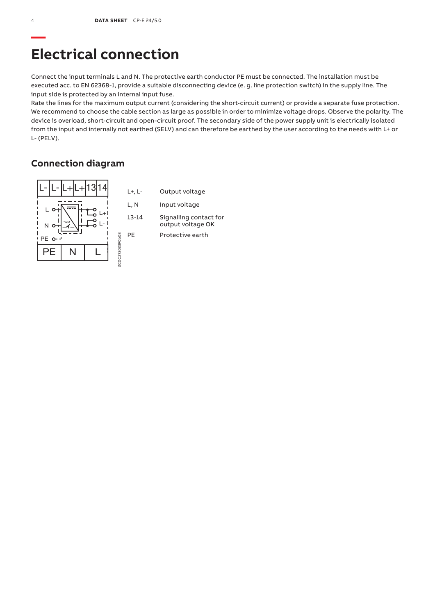## **Electrical connection**

Connect the input terminals L and N. The protective earth conductor PE must be connected. The installation must be executed acc. to EN 62368-1, provide a suitable disconnecting device (e. g. line protection switch) in the supply line. The input side is protected by an internal input fuse.

Rate the lines for the maximum output current (considering the short-circuit current) or provide a separate fuse protection. We recommend to choose the cable section as large as possible in order to minimize voltage drops. Observe the polarity. The device is overload, short-circuit and open-circuit proof. The secondary side of the power supply unit is electrically isolated from the input and internally not earthed (SELV) and can therefore be earthed by the user according to the needs with L+ or L- (PELV).

### **Connection diagram**

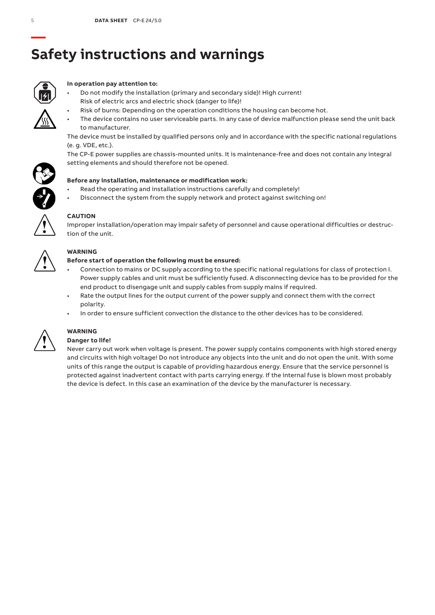# **— Safety instructions and warnings**



### **In operation pay attention to:**

- Do not modify the installation (primary and secondary side)! High current! Risk of electric arcs and electric shock (danger to life)!
	- Risk of burns: Depending on the operation conditions the housing can become hot.
- The device contains no user serviceable parts. In any case of device malfunction please send the unit back to manufacturer.

The device must be installed by qualified persons only and in accordance with the specific national regulations (e. g. VDE, etc.).

The CP-E power supplies are chassis-mounted units. It is maintenance-free and does not contain any integral setting elements and should therefore not be opened.



- Read the operating and installation instructions carefully and completely!
- Disconnect the system from the supply network and protect against switching on!



### **CAUTION**

Improper installation/operation may impair safety of personnel and cause operational difficulties or destruction of the unit.



### **WARNING**

### **Before start of operation the following must be ensured:**

- Connection to mains or DC supply according to the specific national regulations for class of protection I. Power supply cables and unit must be sufficiently fused. A disconnecting device has to be provided for the end product to disengage unit and supply cables from supply mains if required.
- Rate the output lines for the output current of the power supply and connect them with the correct polarity.
- In order to ensure sufficient convection the distance to the other devices has to be considered.



## **WARNING**

### **Danger to life!**

Never carry out work when voltage is present. The power supply contains components with high stored energy and circuits with high voltage! Do not introduce any objects into the unit and do not open the unit. With some units of this range the output is capable of providing hazardous energy. Ensure that the service personnel is protected against inadvertent contact with parts carrying energy. If the internal fuse is blown most probably the device is defect. In this case an examination of the device by the manufacturer is necessary.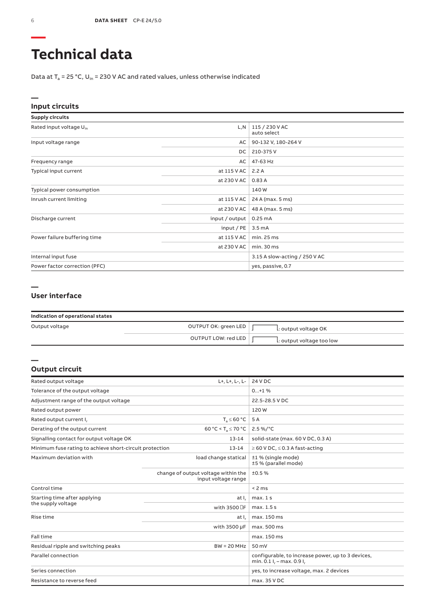# **Technical data**

Data at  $T_a$  = 25 °C, U<sub>in</sub> = 230 V AC and rated values, unless otherwise indicated

### **Input circuits**

| <b>Supply circuits</b>              |                |                               |
|-------------------------------------|----------------|-------------------------------|
| Rated input voltage U <sub>in</sub> | L,N            | 115 / 230 V AC<br>auto select |
| Input voltage range                 | AC             | 90-132 V, 180-264 V           |
|                                     | DC.            | 210-375V                      |
| Frequency range                     | AC             | 47-63 Hz                      |
| Typical input current               | at 115 V AC    | 2.2A                          |
|                                     | at 230 V AC    | 0.83A                         |
| Typical power consumption           |                | 140W                          |
| Inrush current limiting             | at 115 V AC    | 24 A (max. 5 ms)              |
|                                     | at 230 V AC    | 48 A (max. 5 ms)              |
| Discharge current                   | input / output | 0.25mA                        |
|                                     | input / $PE$   | 3.5 <sub>m</sub> A            |
| Power failure buffering time        | at 115 V AC    | min.25 ms                     |
|                                     | at 230 V AC    | min.30 ms                     |
| Internal input fuse                 |                | 3.15 A slow-acting / 250 V AC |
| Power factor correction (PFC)       |                | yes, passive, 0.7             |

### **— User interface**

| Indication of operational states |                      |                           |  |
|----------------------------------|----------------------|---------------------------|--|
| Output voltage                   | OUTPUT OK: green LED | L: output voltage OK      |  |
|                                  | OUTPUT LOW: red LED  | L: output voltage too low |  |

### **Output circuit**

**—**

| Rated output voltage                                    | L+, L+, L-, L-                                             | 24 V DC                                                                        |
|---------------------------------------------------------|------------------------------------------------------------|--------------------------------------------------------------------------------|
| Tolerance of the output voltage                         |                                                            | $0+1$ %                                                                        |
| Adjustment range of the output voltage                  |                                                            | 22.5-28.5 V DC                                                                 |
| Rated output power                                      |                                                            | 120W                                                                           |
| Rated output current I,                                 | $T_s \leq 60 °C$                                           | 5 A                                                                            |
| Derating of the output current                          | 60 °C < T <sub>a</sub> $\leq$ 70 °C                        | $2.5\%$ /°C                                                                    |
| Signalling contact for output voltage OK                | $13 - 14$                                                  | solid-state (max. 60 V DC, 0.3 A)                                              |
| Minimum fuse rating to achieve short-circuit protection | $13 - 14$                                                  | $\geq$ 60 V DC, $\leq$ 0.3 A fast-acting                                       |
| Maximum deviation with                                  | load change statical                                       | ±1 % (single mode)<br>±5 % (parallel mode)                                     |
|                                                         | change of output voltage within the<br>input voltage range | ±0.5%                                                                          |
| Control time                                            |                                                            | < 2 ms                                                                         |
| Starting time after applying                            | at I,                                                      | max.1s                                                                         |
| the supply voltage                                      | with 3500 DF                                               | max. 1.5 s                                                                     |
| Rise time                                               | at I,                                                      | max. 150 ms                                                                    |
|                                                         | with 3500 µF                                               | max. 500 ms                                                                    |
| Fall time                                               |                                                            | max. 150 ms                                                                    |
| Residual ripple and switching peaks<br>$BW = 20 MHz$    |                                                            | 50 mV                                                                          |
| Parallel connection                                     |                                                            | configurable, to increase power, up to 3 devices,<br>min. 0.1 l, - max. 0.9 l, |
| Series connection                                       |                                                            | yes, to increase voltage, max. 2 devices                                       |
| Resistance to reverse feed                              |                                                            | max. 35 V DC                                                                   |

**—**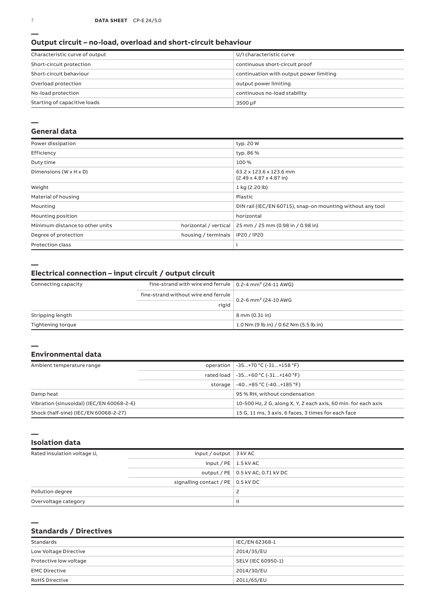### **Output circuit – no-load, overload and short-circuit behaviour**

| Characteristic curve of output | U/I characteristic curve                |
|--------------------------------|-----------------------------------------|
| Short-circuit protection       | continuous short-circuit proof          |
| Short-circuit behaviour        | continuation with output power limiting |
| Overload protection            | output power limiting                   |
| No-load protection             | continuous no-load stability            |
| Starting of capacitive loads   | 3500 µF                                 |

#### **—**

### **General data**

| Power dissipation                    |                       | typ. 20 W                                                              |
|--------------------------------------|-----------------------|------------------------------------------------------------------------|
| Efficiency                           |                       | typ. 86 %                                                              |
| Duty time                            |                       | 100 %                                                                  |
| Dimensions ( $W \times H \times D$ ) |                       | 63.2 x 123.6 x 123.6 mm<br>$(2.49 \times 4.87 \times 4.87 \text{ in})$ |
| Weight                               |                       | 1 kg (2.20 lb)                                                         |
| Material of housing                  |                       | Plastic                                                                |
| Mounting                             |                       | DIN rail (IEC/EN 60715), snap-on mounting without any tool             |
| Mounting position                    |                       | horizontal                                                             |
| Minimum distance to other units      | horizontal / vertical | 25 mm / 25 mm (0.98 in / 0.98 in)                                      |
| Degree of protection                 | housing / terminals   | IP20 / IP20                                                            |
| <b>Protection class</b>              |                       |                                                                        |

**—**

### **Electrical connection – input circuit / output circuit**

| Connecting capacity | fine-strand with wire end ferrule $\vert$ 0.2-4 mm <sup>2</sup> (24-11 AWG) |                                        |
|---------------------|-----------------------------------------------------------------------------|----------------------------------------|
|                     | fine-strand without wire end ferrule                                        |                                        |
|                     | rigid                                                                       | 0.2-6 mm <sup>2</sup> (24-10 AWG       |
| Stripping length    |                                                                             | 8 mm (0.31 in)                         |
| Tightening torque   |                                                                             | 1.0 Nm (9 lb.in) / 0.62 Nm (5.5 lb.in) |

#### **— Environmental data**

| Ambient temperature range                 |         | operation   -35+70 °C (-31+158 °F)                             |
|-------------------------------------------|---------|----------------------------------------------------------------|
|                                           |         | rated load   -35+60 °C (-31+140 °F)                            |
|                                           | storage | $-40+85 °C (-40+185 °F)$                                       |
| Damp heat                                 |         | 95 % RH, without condensation                                  |
| Vibration (sinusoidal) (IEC/EN 60068-2-6) |         | 10-500 Hz, 2 G, along X, Y, Z each axis, 60 min, for each axis |
| Shock (half-sine) (IEC/EN 60068-2-27)     |         | 15 G, 11 ms, 3 axis, 6 faces, 3 times for each face            |

**Isolation data**

| Rated insulation voltage U <sub>i</sub> | input / output $\vert$ 3 kV AC            |                                     |
|-----------------------------------------|-------------------------------------------|-------------------------------------|
|                                         | input / $PE$   1.5 kV AC                  |                                     |
|                                         |                                           | output / PE   0.5 kV AC; 0.71 kV DC |
|                                         | signalling contact / PE $\vert$ 0.5 kV DC |                                     |
| Pollution degree                        |                                           |                                     |
| Overvoltage category                    |                                           | $\mathbf{H}$                        |

**—**

**—**

### **Standards / Directives**

| Standards              | IEC/EN 62368-1     |
|------------------------|--------------------|
| Low Voltage Directive  | 2014/35/EU         |
| Protective low voltage | SELV (IEC 60950-1) |
| <b>EMC Directive</b>   | 2014/30/EU         |
| <b>RoHS Directive</b>  | 2011/65/EU         |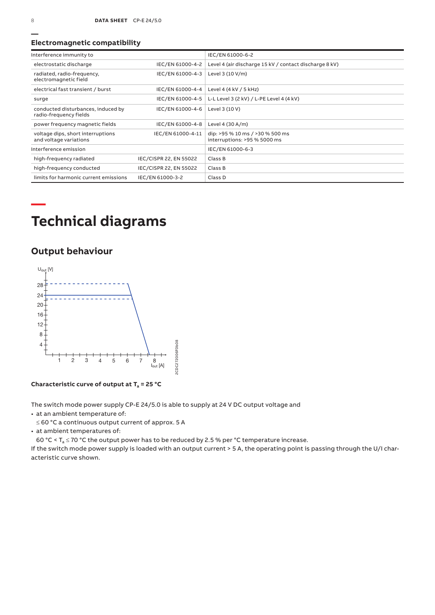### **Electromagnetic compatibility**

| Interference immunity to                                     |                        | IEC/EN 61000-6-2                                                |
|--------------------------------------------------------------|------------------------|-----------------------------------------------------------------|
| electrostatic discharge                                      | IEC/EN 61000-4-2       | Level 4 (air discharge 15 kV / contact discharge 8 kV)          |
| radiated, radio-frequency,<br>electromagnetic field          | IEC/EN 61000-4-3       | Level 3 (10 V/m)                                                |
| electrical fast transient / burst                            | IEC/EN 61000-4-4       | Level 4 (4 kV / 5 kHz)                                          |
| surge                                                        | IEC/EN 61000-4-5       | L-L Level 3 (2 kV) / L-PE Level 4 (4 kV)                        |
| conducted disturbances, induced by<br>radio-frequency fields | IEC/EN 61000-4-6       | Level 3 (10 V)                                                  |
| power frequency magnetic fields                              | IEC/EN 61000-4-8       | Level 4 (30 A/m)                                                |
| voltage dips, short interruptions<br>and voltage variations  | IEC/EN 61000-4-11      | dip: >95 % 10 ms / >30 % 500 ms<br>interruptions: >95 % 5000 ms |
| Interference emission                                        |                        | IEC/EN 61000-6-3                                                |
| high-frequency radiated                                      | IEC/CISPR 22, EN 55022 | Class B                                                         |
| high-frequency conducted                                     | IEC/CISPR 22, EN 55022 | Class B                                                         |
| limits for harmonic current emissions                        | IEC/EN 61000-3-2       | Class D                                                         |

# **Technical diagrams**

## **Output behaviour**



**Characteristic curve of output at Ta = 25 °C**

The switch mode power supply CP-E 24/5.0 is able to supply at 24 V DC output voltage and

• at an ambient temperature of:

≤ 60 °C a continuous output current of approx. 5 A

• at ambient temperatures of:

60 °C <  $T_a \le 70$  °C the output power has to be reduced by 2.5 % per °C temperature increase.

If the switch mode power supply is loaded with an output current > 5 A, the operating point is passing through the U/I characteristic curve shown.

**—**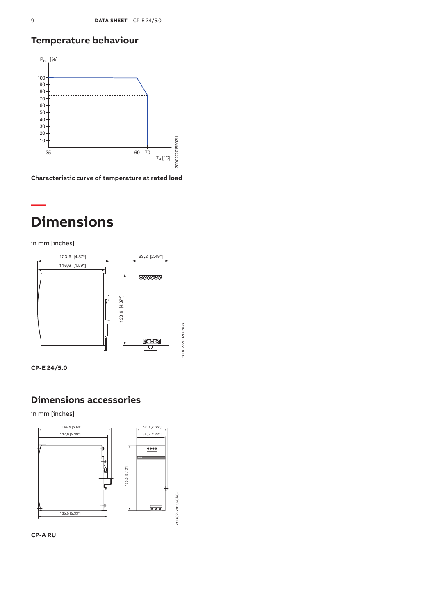## **Temperature behaviour**



**Characteristic curve of temperature at rated load**



in mm [inches]





## **Dimensions accessories**

in mm [inches]



**CP-A RU**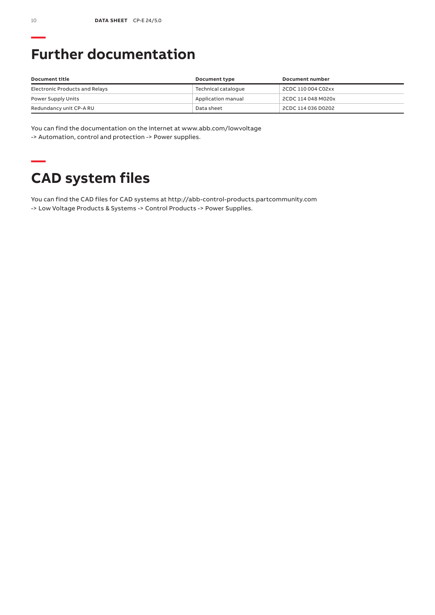# **Further documentation**

| Document title                 | Document type       | Document number    |
|--------------------------------|---------------------|--------------------|
| Electronic Products and Relays | Technical cataloque | 2CDC 110 004 C02xx |
| Power Supply Units             | Application manual  | 2CDC 114 048 M020x |
| Redundancy unit CP-A RU        | Data sheet          | 2CDC 114 036 D0202 |

You can find the documentation on the internet at www.abb.com/lowvoltage -> Automation, control and protection -> Power supplies.

# **— CAD system files**

You can find the CAD files for CAD systems at http://abb-control-products.partcommunity.com -> Low Voltage Products & Systems -> Control Products -> Power Supplies.